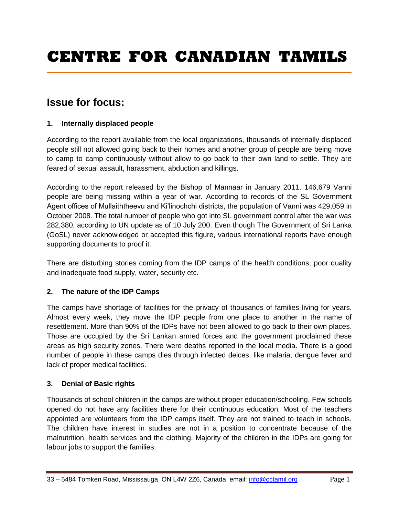# **Issue for focus:**

# **1. Internally displaced people**

According to the report available from the local organizations, thousands of internally displaced people still not allowed going back to their homes and another group of people are being move to camp to camp continuously without allow to go back to their own land to settle. They are feared of sexual assault, harassment, abduction and killings.

According to the report released by the Bishop of Mannaar in January 2011, 146,679 Vanni people are being missing within a year of war. According to records of the SL Government Agent offices of Mullaiththeevu and Ki"linochchi districts, the population of Vanni was 429,059 in October 2008. The total number of people who got into SL government control after the war was 282,380, according to UN update as of 10 July 200. Even though The Government of Sri Lanka (GoSL) never acknowledged or accepted this figure, various international reports have enough supporting documents to proof it.

There are disturbing stories coming from the IDP camps of the health conditions, poor quality and inadequate food supply, water, security etc.

#### **2. The nature of the IDP Camps**

The camps have shortage of facilities for the privacy of thousands of families living for years. Almost every week, they move the IDP people from one place to another in the name of resettlement. More than 90% of the IDPs have not been allowed to go back to their own places. Those are occupied by the Sri Lankan armed forces and the government proclaimed these areas as high security zones. There were deaths reported in the local media. There is a good number of people in these camps dies through infected deices, like malaria, dengue fever and lack of proper medical facilities.

#### **3. Denial of Basic rights**

Thousands of school children in the camps are without proper education/schooling. Few schools opened do not have any facilities there for their continuous education. Most of the teachers appointed are volunteers from the IDP camps itself. They are not trained to teach in schools. The children have interest in studies are not in a position to concentrate because of the malnutrition, health services and the clothing. Majority of the children in the IDPs are going for labour jobs to support the families.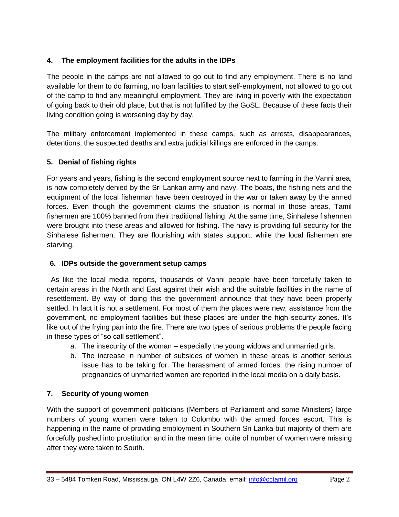## **4. The employment facilities for the adults in the IDPs**

The people in the camps are not allowed to go out to find any employment. There is no land available for them to do farming, no loan facilities to start self-employment, not allowed to go out of the camp to find any meaningful employment. They are living in poverty with the expectation of going back to their old place, but that is not fulfilled by the GoSL. Because of these facts their living condition going is worsening day by day.

The military enforcement implemented in these camps, such as arrests, disappearances, detentions, the suspected deaths and extra judicial killings are enforced in the camps.

## **5. Denial of fishing rights**

For years and years, fishing is the second employment source next to farming in the Vanni area, is now completely denied by the Sri Lankan army and navy. The boats, the fishing nets and the equipment of the local fisherman have been destroyed in the war or taken away by the armed forces. Even though the government claims the situation is normal in those areas, Tamil fishermen are 100% banned from their traditional fishing. At the same time, Sinhalese fishermen were brought into these areas and allowed for fishing. The navy is providing full security for the Sinhalese fishermen. They are flourishing with states support; while the local fishermen are starving.

#### **6. IDPs outside the government setup camps**

 As like the local media reports, thousands of Vanni people have been forcefully taken to certain areas in the North and East against their wish and the suitable facilities in the name of resettlement. By way of doing this the government announce that they have been properly settled. In fact it is not a settlement. For most of them the places were new, assistance from the government, no employment facilities but these places are under the high security zones. It"s like out of the frying pan into the fire. There are two types of serious problems the people facing in these types of "so call settlement".

- a. The insecurity of the woman especially the young widows and unmarried girls.
- b. The increase in number of subsides of women in these areas is another serious issue has to be taking for. The harassment of armed forces, the rising number of pregnancies of unmarried women are reported in the local media on a daily basis.

#### **7. Security of young women**

With the support of government politicians (Members of Parliament and some Ministers) large numbers of young women were taken to Colombo with the armed forces escort. This is happening in the name of providing employment in Southern Sri Lanka but majority of them are forcefully pushed into prostitution and in the mean time, quite of number of women were missing after they were taken to South.